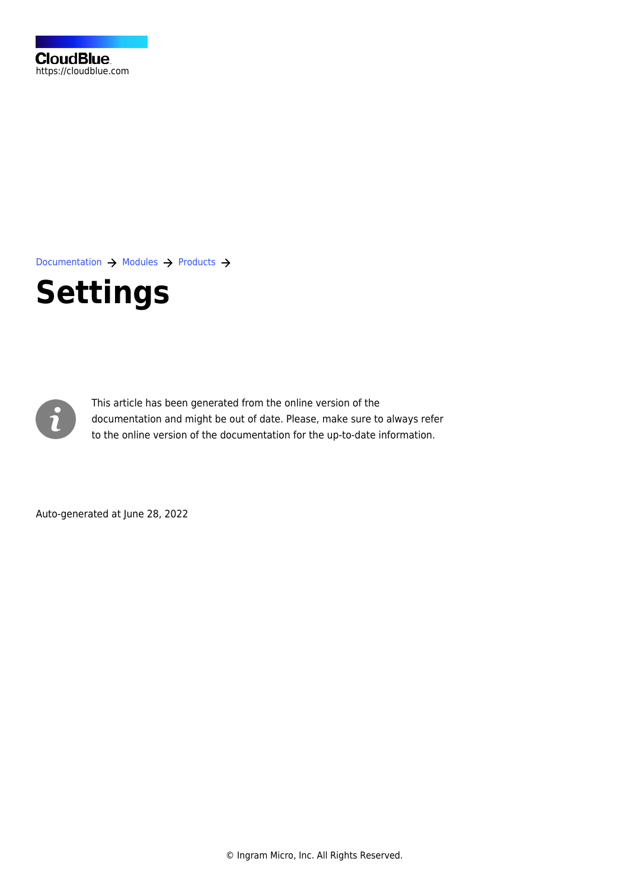

[Documentation](https://connect.cloudblue.com/documentation)  $\rightarrow$  [Modules](https://connect.cloudblue.com/community/modules/)  $\rightarrow$  [Products](https://connect.cloudblue.com/community/modules/products/)  $\rightarrow$ 

# **[Settings](https://connect.cloudblue.com/community/modules/products/capabilities/)**



This article has been generated from the online version of the documentation and might be out of date. Please, make sure to always refer to the online version of the documentation for the up-to-date information.

Auto-generated at June 28, 2022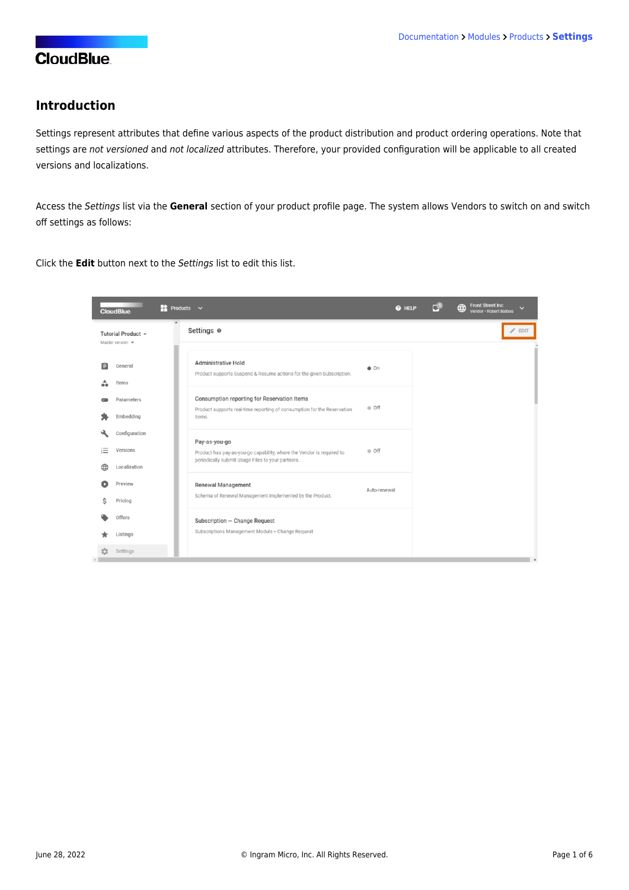### **Introduction**

Settings represent attributes that define various aspects of the product distribution and product ordering operations. Note that settings are not versioned and not localized attributes. Therefore, your provided configuration will be applicable to all created versions and localizations.

Access the Settings list via the **General** section of your product profile page. The system allows Vendors to switch on and switch off settings as follows:

Click the **Edit** button next to the Settings list to edit this list.

|   | <b>CloudBlue</b>                                           | $\rightarrow$ Products $\sim$<br>@ HELP                                                                                         | <b>Front Street Inc.</b><br>⊕<br>$\checkmark$<br>Vendor · Robert Balboa |
|---|------------------------------------------------------------|---------------------------------------------------------------------------------------------------------------------------------|-------------------------------------------------------------------------|
|   | Tutorial Product -<br>Master version $\mathbf{\mathbf{v}}$ | Settings @                                                                                                                      | <b>EDIT</b>                                                             |
| 自 | General                                                    | Administrative Hold<br>$\bullet$ On<br>Product supports Suspend & Resume actions for the given Subscription.                    |                                                                         |
|   | Items<br>Parameters<br>Embedding                           | Consumption reporting for Reservation Items<br>· Off<br>Product supports real-time reporting of consumption for the Reservation |                                                                         |
| 汇 | Configuration<br>Versions                                  | items.<br>Pay-as-you-go<br>● Off                                                                                                |                                                                         |
|   | Localization                                               | Product has pay-as-you-go capability, where the Vendor is required to<br>periodically submit Usage Files to your partners.      |                                                                         |
|   | Preview<br>Pricing                                         | Renewal Management<br>Auto-renewal<br>Schema of Renewal Management implemented by the Product.                                  |                                                                         |
|   | Offers                                                     | Subscription - Change Request<br>Subscriptions Management Module > Change Request                                               |                                                                         |
|   | Listings<br>Settings                                       |                                                                                                                                 |                                                                         |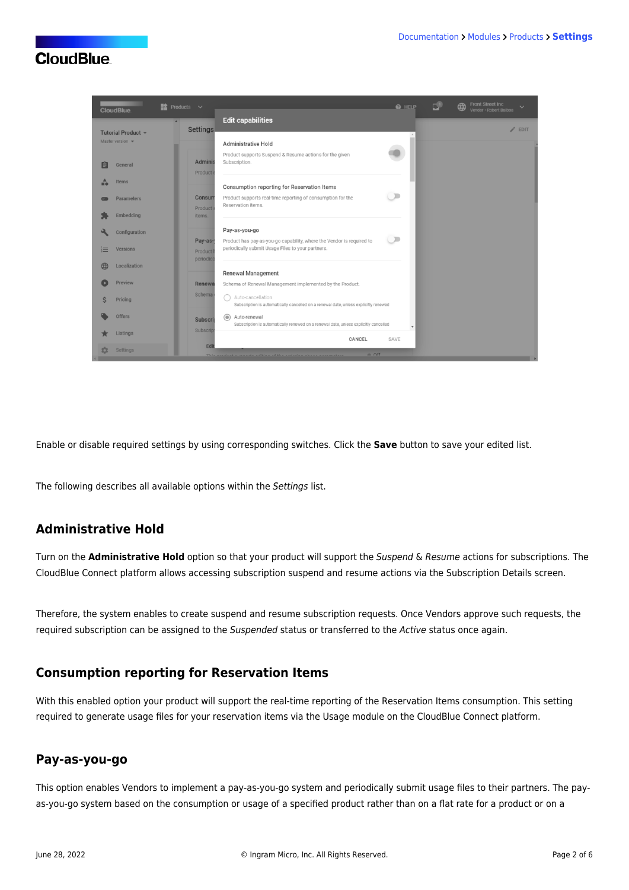

Enable or disable required settings by using corresponding switches. Click the **Save** button to save your edited list.

The following describes all available options within the Settings list.

## **Administrative Hold**

Turn on the **Administrative Hold** option so that your product will support the Suspend & Resume actions for subscriptions. The CloudBlue Connect platform allows accessing subscription suspend and resume actions via the [Subscription Details](https://connect.cloudblue.com/community/modules/subscriptions/user-interface/#distributor-actions) screen.

Therefore, the system enables to create suspend and resume subscription requests. Once Vendors approve such requests, the required subscription can be assigned to the Suspended status or transferred to the Active status once again.

#### **Consumption reporting for Reservation Items**

With this enabled option your product will support the real-time reporting of the Reservation Items consumption. This setting required to generate usage files for your reservation items via the [Usage](https://connect.cloudblue.com/community/modules/usage_module/) module on the CloudBlue Connect platform.

#### **Pay-as-you-go**

This option enables Vendors to implement a pay-as-you-go system and periodically submit usage files to their partners. The payas-you-go system based on the consumption or usage of a specified product rather than on a flat rate for a product or on a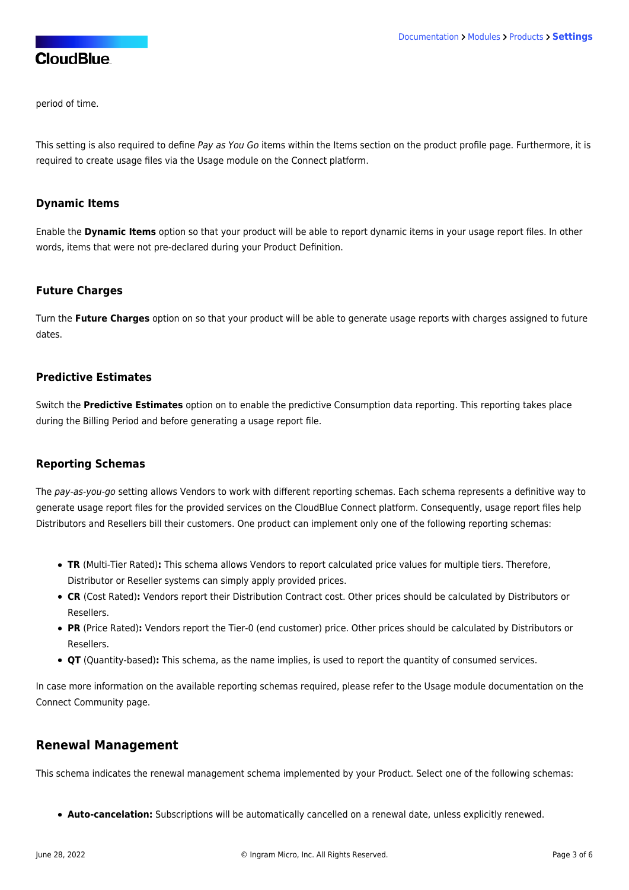period of time.

This setting is also required to define Pay as You Go items within the [Items](https://connect.cloudblue.com/community/modules/products/items/) section on the product profile page. Furthermore, it is required to create usage files via the [Usage](https://connect.cloudblue.com/community/modules/usage_module/) module on the Connect platform.

#### **Dynamic Items**

Enable the **Dynamic Items** option so that your product will be able to report dynamic items in your usage report files. In other words, items that were not pre-declared during your [Product Definition](https://connect.cloudblue.com/community/getting-started/vendor/product-definition/).

#### **Future Charges**

Turn the **Future Charges** option on so that your product will be able to generate usage reports with charges assigned to future dates

#### **Predictive Estimates**

Switch the **Predictive Estimates** option on to enable the predictive Consumption data reporting. This reporting takes place during the Billing Period and before generating a usage report file.

#### **Reporting Schemas**

The pay-as-you-go setting allows Vendors to work with different reporting schemas. Each schema represents a definitive way to generate usage report files for the provided services on the CloudBlue Connect platform. Consequently, usage report files help Distributors and Resellers bill their customers. One product can implement only one of the following reporting schemas:

- **TR** (Multi-Tier Rated)**:** This schema allows Vendors to report calculated price values for multiple tiers. Therefore, Distributor or Reseller systems can simply apply provided prices.
- **CR** (Cost Rated)**:** Vendors report their Distribution Contract cost. Other prices should be calculated by Distributors or Resellers.
- **PR** (Price Rated)**:** Vendors report the Tier-0 (end customer) price. Other prices should be calculated by Distributors or Resellers.
- **QT** (Quantity-based)**:** This schema, as the name implies, is used to report the quantity of consumed services.

In case more information on the available reporting schemas required, please refer to the [Usage](https://connect.cloudblue.com/community/modules/usage_module/) module documentation on the Connect Community page.

#### **Renewal Management**

This schema indicates the renewal management schema implemented by your Product. Select one of the following schemas:

**Auto-cancelation:** Subscriptions will be automatically cancelled on a renewal date, unless explicitly renewed.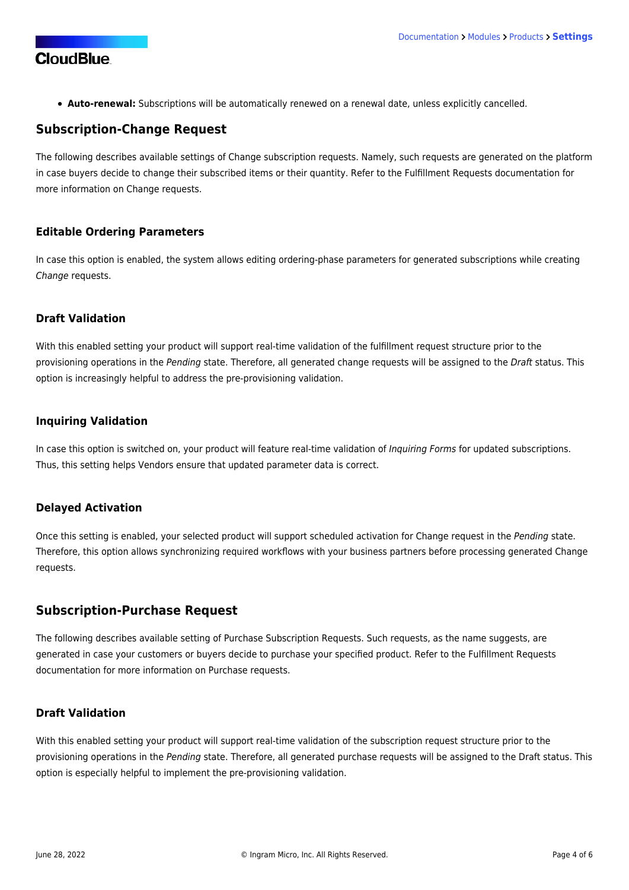**Auto-renewal:** Subscriptions will be automatically renewed on a renewal date, unless explicitly cancelled.

## **Subscription-Change Request**

The following describes available settings of Change subscription requests. Namely, such requests are generated on the platform in case buyers decide to change their subscribed items or their quantity. Refer to the [Fulfillment Requests](https://connect.cloudblue.com/community/modules/subscriptions/fulfillment-requests/#Change) documentation for more information on Change requests.

#### **Editable Ordering Parameters**

In case this option is enabled, the system allows editing [ordering-phase](https://connect.cloudblue.com/community/modules/products/parameters/#Overview) parameters for generated subscriptions while creating Change requests.

#### **Draft Validation**

With this enabled setting your product will support real-time validation of the fulfillment request structure prior to the provisioning operations in the Pending state. Therefore, all generated change requests will be assigned to the Draft status. This option is increasingly helpful to address the pre-provisioning validation.

#### **Inquiring Validation**

In case this option is switched on, your product will feature real-time validation of Inquiring Forms for updated subscriptions. Thus, this setting helps Vendors ensure that updated parameter data is correct.

#### **Delayed Activation**

Once this setting is enabled, your selected product will support [scheduled activation](https://connect.cloudblue.com/community/modules/subscriptions/user-interface/new-requests-management/#Schedule_Delayed_Activation) for Change request in the Pending state. Therefore, this option allows synchronizing required workflows with your business partners before processing generated Change requests.

# **Subscription-Purchase Request**

The following describes available setting of Purchase Subscription Requests. Such requests, as the name suggests, are generated in case your customers or buyers decide to purchase your specified product. Refer to the [Fulfillment Requests](https://connect.cloudblue.com/community/modules/subscriptions/fulfillment-requests/#Purchase) documentation for more information on Purchase requests.

#### **Draft Validation**

With this enabled setting your product will support real-time validation of the subscription request structure prior to the provisioning operations in the Pending state. Therefore, all generated purchase requests will be assigned to the Draft status. This option is especially helpful to implement the pre-provisioning validation.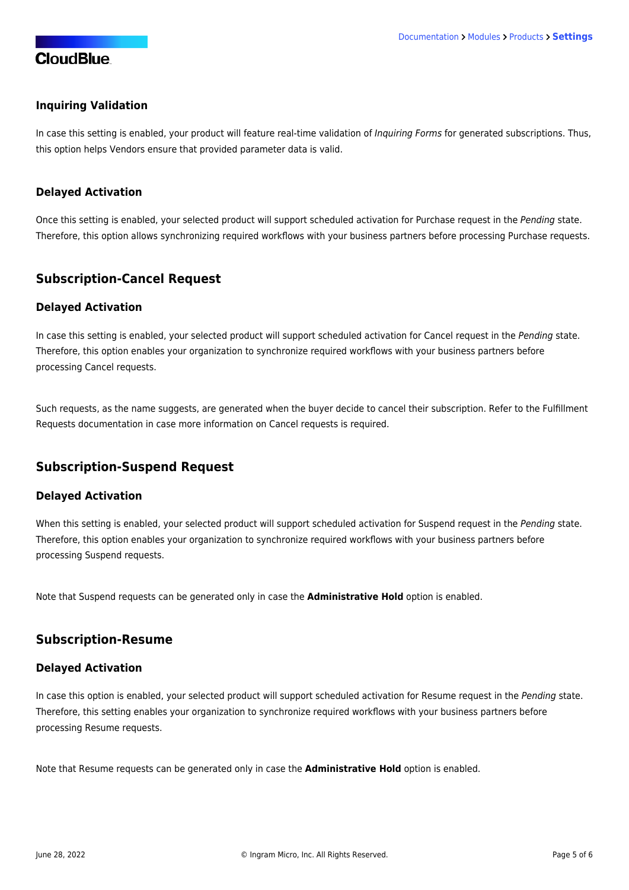#### **Inquiring Validation**

In case this setting is enabled, your product will feature real-time validation of Inquiring Forms for generated subscriptions. Thus, this option helps Vendors ensure that provided parameter data is valid.

#### **Delayed Activation**

Once this setting is enabled, your selected product will support [scheduled activation](https://connect.cloudblue.com/community/modules/subscriptions/user-interface/new-requests-management/#Schedule_Delayed_Activation) for Purchase request in the Pending state. Therefore, this option allows synchronizing required workflows with your business partners before processing Purchase requests.

## **Subscription-Cancel Request**

#### **Delayed Activation**

In case this setting is enabled, your selected product will support [scheduled activation](https://connect.cloudblue.com/community/modules/subscriptions/user-interface/new-requests-management/#Schedule_Delayed_Activation) for Cancel request in the Pending state. Therefore, this option enables your organization to synchronize required workflows with your business partners before processing Cancel requests.

Such requests, as the name suggests, are generated when the buyer decide to cancel their subscription. Refer to the [Fulfillment](https://connect.cloudblue.com/community/modules/subscriptions/fulfillment-requests/) [Requests](https://connect.cloudblue.com/community/modules/subscriptions/fulfillment-requests/) documentation in case more information on Cancel requests is required.

# **Subscription-Suspend Request**

#### **Delayed Activation**

When this setting is enabled, your selected product will support [scheduled activation](https://connect.cloudblue.com/community/modules/subscriptions/user-interface/new-requests-management/#Schedule_Delayed_Activation) for Suspend request in the Pending state. Therefore, this option enables your organization to synchronize required workflows with your business partners before processing Suspend requests.

Note that Suspend requests can be generated only in case the **Administrative Hold** option is enabled.

#### **Subscription-Resume**

#### **Delayed Activation**

In case this option is enabled, your selected product will support [scheduled activation](https://connect.cloudblue.com/community/modules/subscriptions/user-interface/new-requests-management/#Schedule_Delayed_Activation) for Resume request in the Pending state. Therefore, this setting enables your organization to synchronize required workflows with your business partners before processing Resume requests.

Note that Resume requests can be generated only in case the **Administrative Hold** option is enabled.